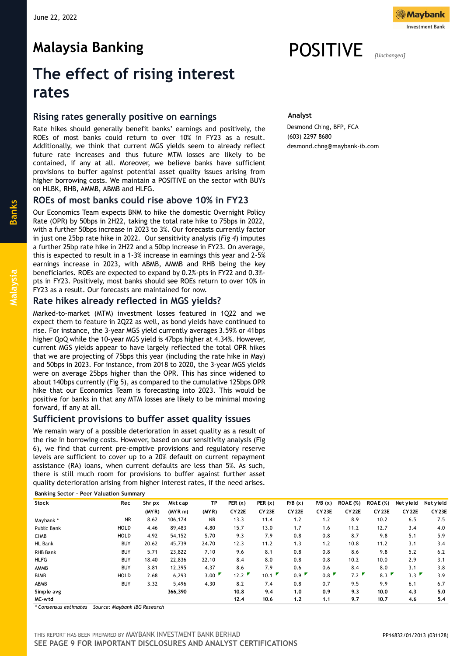**Malaysia Banking**



# POSITIVE *[Unchanged]*

Desmond Ch'ng, BFP, FCA

desmond.chng@maybank-ib.com

**Analyst**

(603) 2297 8680

# **The effect of rising interest rates**

## **Rising rates generally positive on earnings**

Rate hikes should generally benefit banks' earnings and positively, the ROEs of most banks could return to over 10% in FY23 as a result. Additionally, we think that current MGS yields seem to already reflect future rate increases and thus future MTM losses are likely to be contained, if any at all. Moreover, we believe banks have sufficient provisions to buffer against potential asset quality issues arising from higher borrowing costs. We maintain a POSITIVE on the sector with BUYs on HLBK, RHB, AMMB, ABMB and HLFG.

# **ROEs of most banks could rise above 10% in FY23**

Our Economics Team expects BNM to hike the domestic Overnight Policy Rate (OPR) by 50bps in 2H22, taking the total rate hike to 75bps in 2022, with a further 50bps increase in 2023 to 3%. Our forecasts currently factor in just one 25bp rate hike in 2022. Our sensitivity analysis (*Fig 4*) imputes a further 25bp rate hike in 2H22 and a 50bp increase in FY23. On average, this is expected to result in a 1-3% increase in earnings this year and 2-5% earnings increase in 2023, with ABMB, AMMB and RHB being the key beneficiaries. ROEs are expected to expand by 0.2%-pts in FY22 and 0.3% pts in FY23. Positively, most banks should see ROEs return to over 10% in FY23 as a result. Our forecasts are maintained for now.

# **Rate hikes already reflected in MGS yields?**

Marked-to-market (MTM) investment losses featured in 1Q22 and we expect them to feature in 2Q22 as well, as bond yields have continued to rise. For instance, the 3-year MGS yield currently averages 3.59% or 41bps higher QoQ while the 10-year MGS yield is 47bps higher at 4.34%. However, current MGS yields appear to have largely reflected the total OPR hikes that we are projecting of 75bps this year (including the rate hike in May) and 50bps in 2023. For instance, from 2018 to 2020, the 3-year MGS yields were on average 25bps higher than the OPR. This has since widened to about 140bps currently (Fig 5), as compared to the cumulative 125bps OPR hike that our Economics Team is forecasting into 2023. This would be positive for banks in that any MTM losses are likely to be minimal moving forward, if any at all.

# **Sufficient provisions to buffer asset quality issues**

We remain wary of a possible deterioration in asset quality as a result of the rise in borrowing costs. However, based on our sensitivity analysis (Fig 6), we find that current pre-emptive provisions and regulatory reserve levels are sufficient to cover up to a 20% default on current repayment assistance (RA) loans, when current defaults are less than 5%. As such, there is still much room for provisions to buffer against further asset quality deterioration arising from higher interest rates, if the need arises.

**Banking Sector – Peer Valuation Summary** 

| <b>Stock</b>    | Rec         | Shr px | Mkt cap | ТP    | PER $(x)$     | PER $(x)$         | P/B(x)        | P/B(x)       | <b>ROAE</b> (%) | <b>ROAE</b> (%) | Net yield         | Net yield         |
|-----------------|-------------|--------|---------|-------|---------------|-------------------|---------------|--------------|-----------------|-----------------|-------------------|-------------------|
|                 |             | (MYR)  | (MYR m) | (MYR) | <b>CY 22E</b> | CY <sub>23E</sub> | <b>CY 22E</b> | <b>CY23E</b> | <b>CY 22E</b>   | <b>CY 23E</b>   | CY <sub>22E</sub> | CY <sub>23E</sub> |
| Maybank *       | NR.         | 8.62   | 106,174 | NR.   | 13.3          | 11.4              | 1.2           | 1.2          | 8.9             | 10.2            | 6.5               | 7.5               |
| Public Bank     | <b>HOLD</b> | 4.46   | 89,483  | 4.80  | 15.7          | 13.0              | 1.7           | 1.6          | 11.2            | 12.7            | 3.4               | 4.0               |
| <b>CIMB</b>     | HOLD        | 4.92   | 54,152  | 5.70  | 9.3           | 7.9               | 0.8           | 0.8          | 8.7             | 9.8             | 5.1               | 5.9               |
| <b>HL Bank</b>  | <b>BUY</b>  | 20.62  | 45,739  | 24.70 | 12.3          | 11.2              | 1.3           | 1.2          | 10.8            | 11.2            | 3.1               | 3.4               |
| <b>RHB Bank</b> | <b>BUY</b>  | 5.71   | 23,822  | 7.10  | 9.6           | 8.1               | 0.8           | 0.8          | 8.6             | 9.8             | 5.2               | 6.2               |
| <b>HLFG</b>     | <b>BUY</b>  | 18.40  | 22,836  | 22.10 | 8.4           | 8.0               | 0.8           | 0.8          | 10.2            | 10.0            | 2.9               | 3.1               |
| AMMB            | <b>BUY</b>  | 3.81   | 12,395  | 4.37  | 8.6           | 7.9               | 0.6           | 0.6          | 8.4             | 8.0             | 3.1               | 3.8               |
| <b>BIMB</b>     | <b>HOLD</b> | 2.68   | 6,293   | 3.00  | 12.2          | 10.1              | 0.9           | 0.8          | 7.2             | 8.3             | 3.3               | 3.9               |
| ABMB            | <b>BUY</b>  | 3.32   | 5,496   | 4.30  | 8.2           | 7.4               | 0.8           | 0.7          | 9.5             | 9.9             | 6.1               | 6.7               |
| Simple avg      |             |        | 366,390 |       | 10.8          | 9.4               | 1.0           | 0.9          | 9.3             | 10.0            | 4.3               | 5.0               |
| MC-wtd          |             |        |         |       | 12.4          | 10.6              | 1,2           | 1,1          | 9.7             | 10.7            | 4.6               | 5.4               |
|                 |             |        |         |       |               |                   |               |              |                 |                 |                   |                   |

*\* Consensus estimates Source: Maybank IBG Research*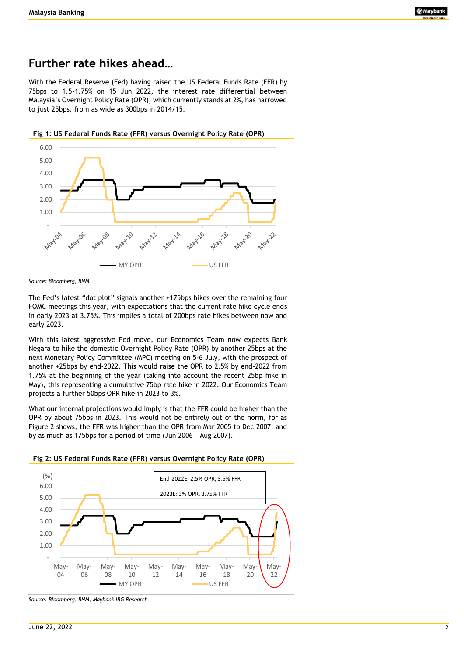# **Further rate hikes ahead…**

With the Federal Reserve (Fed) having raised the US Federal Funds Rate (FFR) by 75bps to 1.5-1.75% on 15 Jun 2022, the interest rate differential between Malaysia's Overnight Policy Rate (OPR), which currently stands at 2%, has narrowed to just 25bps, from as wide as 300bps in 2014/15.



**Fig 1: US Federal Funds Rate (FFR) versus Overnight Policy Rate (OPR)**

The Fed's latest "dot plot" signals another +175bps hikes over the remaining four FOMC meetings this year, with expectations that the current rate hike cycle ends in early 2023 at 3.75%. This implies a total of 200bps rate hikes between now and early 2023.

With this latest aggressive Fed move, our Economics Team now expects Bank Negara to hike the domestic Overnight Policy Rate (OPR) by another 25bps at the next Monetary Policy Committee (MPC) meeting on 5-6 July, with the prospect of another +25bps by end-2022. This would raise the OPR to 2.5% by end-2022 from 1.75% at the beginning of the year (taking into account the recent 25bp hike in May), this representing a cumulative 75bp rate hike in 2022. Our Economics Team projects a further 50bps OPR hike in 2023 to 3%.

What our internal projections would imply is that the FFR could be higher than the OPR by about 75bps in 2023. This would not be entirely out of the norm, for as Figure 2 shows, the FFR was higher than the OPR from Mar 2005 to Dec 2007, and by as much as 175bps for a period of time (Jun 2006 – Aug 2007).





*Source: Bloomberg, BNM, Maybank IBG Research*

*Source: Bloomberg, BNM*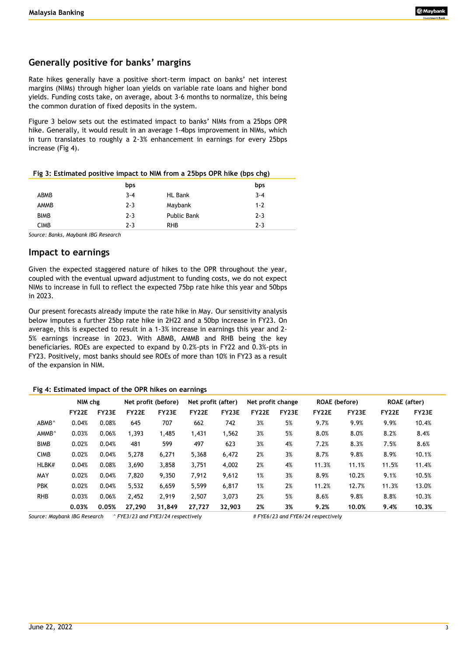# **Generally positive for banks' margins**

Rate hikes generally have a positive short-term impact on banks' net interest margins (NIMs) through higher loan yields on variable rate loans and higher bond yields. Funding costs take, on average, about 3-6 months to normalize, this being the common duration of fixed deposits in the system.

Figure 3 below sets out the estimated impact to banks' NIMs from a 25bps OPR hike. Generally, it would result in an average 1-4bps improvement in NIMs, which in turn translates to roughly a 2-3% enhancement in earnings for every 25bps increase (Fig 4).

|  | Fig 3: Estimated positive impact to NIM from a 25bps OPR hike (bps chg) |
|--|-------------------------------------------------------------------------|
|--|-------------------------------------------------------------------------|

|             | bps     |                    | bps     |
|-------------|---------|--------------------|---------|
| ABMB        | $3 - 4$ | <b>HL Bank</b>     | $3 - 4$ |
| AMMB        | $2 - 3$ | Maybank            | $1 - 2$ |
| <b>BIMB</b> | $2 - 3$ | <b>Public Bank</b> | $2 - 3$ |
| <b>CIMB</b> | $2 - 3$ | <b>RHB</b>         | $2 - 3$ |

*Source: Banks, Maybank IBG Research*

# **Impact to earnings**

Given the expected staggered nature of hikes to the OPR throughout the year, coupled with the eventual upward adjustment to funding costs, we do not expect NIMs to increase in full to reflect the expected 75bp rate hike this year and 50bps in 2023.

Our present forecasts already impute the rate hike in May. Our sensitivity analysis below imputes a further 25bp rate hike in 2H22 and a 50bp increase in FY23. On average, this is expected to result in a 1-3% increase in earnings this year and 2- 5% earnings increase in 2023. With ABMB, AMMB and RHB being the key beneficiaries. ROEs are expected to expand by 0.2%-pts in FY22 and 0.3%-pts in FY23. Positively, most banks should see ROEs of more than 10% in FY23 as a result of the expansion in NIM.

#### **Fig 4: Estimated impact of the OPR hikes on earnings**

|                   | NIM chg      |       |        | Net profit (before) | Net profit (after) |        | Net profit change |              | <b>ROAE</b> (before) |              | <b>ROAE</b> (after) |       |
|-------------------|--------------|-------|--------|---------------------|--------------------|--------|-------------------|--------------|----------------------|--------------|---------------------|-------|
|                   | <b>FY22E</b> | FY23E | FY22E  | FY23E               | FY22E              | FY23E  | <b>FY22E</b>      | <b>FY23E</b> | FY22E                | <b>FY23E</b> | FY22E               | FY23E |
| ABMB <sup>^</sup> | 0.04%        | 0.08% | 645    | 707                 | 662                | 742    | 3%                | 5%           | 9.7%                 | 9.9%         | 9.9%                | 10.4% |
| AMMB <sup>^</sup> | 0.03%        | 0.06% | 1,393  | 1,485               | 1,431              | 1,562  | 3%                | 5%           | 8.0%                 | 8.0%         | 8.2%                | 8.4%  |
| <b>BIMB</b>       | 0.02%        | 0.04% | 481    | 599                 | 497                | 623    | 3%                | 4%           | 7.2%                 | 8.3%         | 7.5%                | 8.6%  |
| <b>CIMB</b>       | 0.02%        | 0.04% | 5,278  | 6,271               | 5,368              | 6,472  | 2%                | 3%           | 8.7%                 | 9.8%         | 8.9%                | 10.1% |
| HLBK#             | 0.04%        | 0.08% | 3,690  | 3,858               | 3,751              | 4,002  | 2%                | 4%           | 11.3%                | 11.1%        | 11.5%               | 11.4% |
| MAY               | 0.02%        | 0.04% | 7,820  | 9,350               | 7,912              | 9,612  | 1%                | 3%           | 8.9%                 | 10.2%        | 9.1%                | 10.5% |
| <b>PBK</b>        | 0.02%        | 0.04% | 5,532  | 6,659               | 5,599              | 6,817  | 1%                | 2%           | 11.2%                | 12.7%        | 11.3%               | 13.0% |
| <b>RHB</b>        | 0.03%        | 0.06% | 2,452  | 2.919               | 2,507              | 3,073  | 2%                | 5%           | 8.6%                 | 9.8%         | 8.8%                | 10.3% |
|                   | 0.03%        | 0.05% | 27,290 | 31,849              | 27,727             | 32,903 | 2%                | 3%           | 9.2%                 | 10.0%        | 9.4%                | 10.3% |

*Source: Maybank IBG Research ^ FYE3/23 and FYE3/24 respectively # FYE6/23 and FYE6/24 respectively*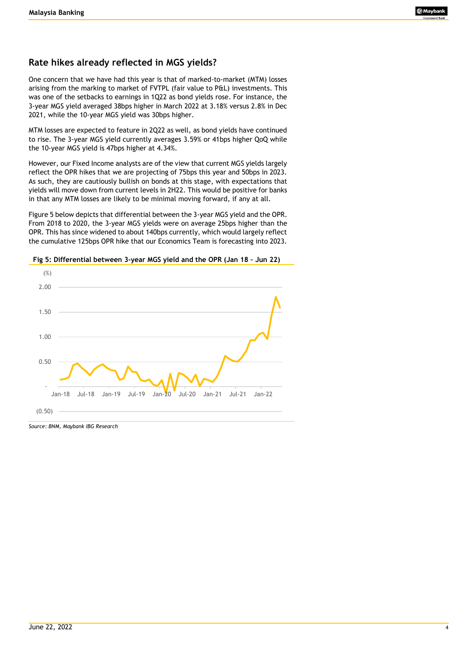# **Rate hikes already reflected in MGS yields?**

One concern that we have had this year is that of marked-to-market (MTM) losses arising from the marking to market of FVTPL (fair value to P&L) investments. This was one of the setbacks to earnings in 1Q22 as bond yields rose. For instance, the 3-year MGS yield averaged 38bps higher in March 2022 at 3.18% versus 2.8% in Dec 2021, while the 10-year MGS yield was 30bps higher.

MTM losses are expected to feature in 2Q22 as well, as bond yields have continued to rise. The 3-year MGS yield currently averages 3.59% or 41bps higher QoQ while the 10-year MGS yield is 47bps higher at 4.34%.

However, our Fixed Income analysts are of the view that current MGS yields largely reflect the OPR hikes that we are projecting of 75bps this year and 50bps in 2023. As such, they are cautiously bullish on bonds at this stage, with expectations that yields will move down from current levels in 2H22. This would be positive for banks in that any MTM losses are likely to be minimal moving forward, if any at all.

Figure 5 below depicts that differential between the 3-year MGS yield and the OPR. From 2018 to 2020, the 3-year MGS yields were on average 25bps higher than the OPR. This has since widened to about 140bps currently, which would largely reflect the cumulative 125bps OPR hike that our Economics Team is forecasting into 2023.





*Source: BNM, Maybank IBG Research*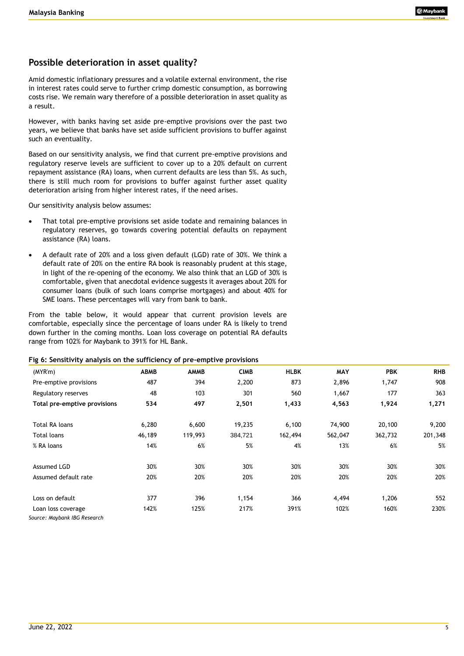# **Possible deterioration in asset quality?**

Amid domestic inflationary pressures and a volatile external environment, the rise in interest rates could serve to further crimp domestic consumption, as borrowing costs rise. We remain wary therefore of a possible deterioration in asset quality as a result.

However, with banks having set aside pre-emptive provisions over the past two years, we believe that banks have set aside sufficient provisions to buffer against such an eventuality.

Based on our sensitivity analysis, we find that current pre-emptive provisions and regulatory reserve levels are sufficient to cover up to a 20% default on current repayment assistance (RA) loans, when current defaults are less than 5%. As such, there is still much room for provisions to buffer against further asset quality deterioration arising from higher interest rates, if the need arises.

Our sensitivity analysis below assumes:

- That total pre-emptive provisions set aside todate and remaining balances in regulatory reserves, go towards covering potential defaults on repayment assistance (RA) loans.
- A default rate of 20% and a loss given default (LGD) rate of 30%. We think a default rate of 20% on the entire RA book is reasonably prudent at this stage, in light of the re-opening of the economy. We also think that an LGD of 30% is comfortable, given that anecdotal evidence suggests it averages about 20% for consumer loans (bulk of such loans comprise mortgages) and about 40% for SME loans. These percentages will vary from bank to bank.

From the table below, it would appear that current provision levels are comfortable, especially since the percentage of loans under RA is likely to trend down further in the coming months. Loan loss coverage on potential RA defaults range from 102% for Maybank to 391% for HL Bank.

#### **Fig 6: Sensitivity analysis on the sufficiency of pre-emptive provisions**

| (MYR'm)                                            | <b>ABMB</b> | <b>AMMB</b> | <b>CIMB</b> | <b>HLBK</b> | <b>MAY</b> | <b>PBK</b> | <b>RHB</b> |
|----------------------------------------------------|-------------|-------------|-------------|-------------|------------|------------|------------|
| Pre-emptive provisions                             | 487         | 394         | 2,200       | 873         | 2,896      | 1,747      | 908        |
| Regulatory reserves                                | 48          | 103         | 301         | 560         | 1,667      | 177        | 363        |
| Total pre-emptive provisions                       | 534         | 497         | 2,501       | 1,433       | 4,563      | 1,924      | 1,271      |
| Total RA loans                                     | 6,280       | 6,600       | 19,235      | 6,100       | 74,900     | 20,100     | 9,200      |
| <b>Total loans</b>                                 | 46,189      | 119,993     | 384,721     | 162,494     | 562,047    | 362,732    | 201,348    |
| % RA loans                                         | 14%         | 6%          | 5%          | 4%          | 13%        | 6%         | 5%         |
| Assumed LGD                                        | 30%         | 30%         | 30%         | 30%         | 30%        | 30%        | 30%        |
| Assumed default rate                               | 20%         | 20%         | 20%         | 20%         | 20%        | 20%        | 20%        |
| Loss on default                                    | 377         | 396         | 1,154       | 366         | 4,494      | 1,206      | 552        |
| Loan loss coverage<br>Source: Mavbank IBG Research | 142%        | 125%        | 217%        | 391%        | 102%       | 160%       | 230%       |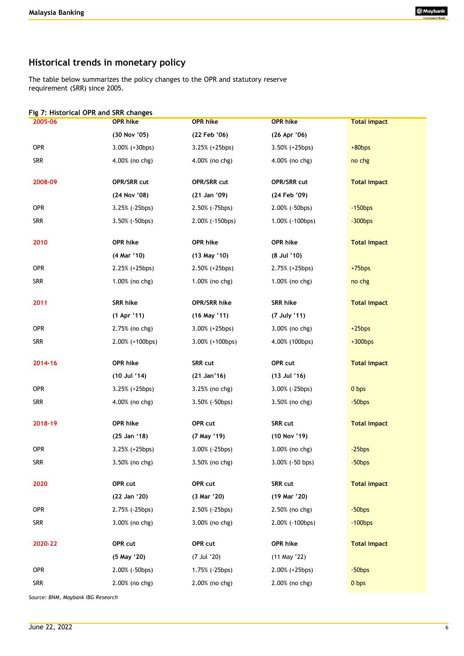# **Historical trends in monetary policy**

The table below summarizes the policy changes to the OPR and statutory reserve requirement (SRR) since 2005.

| 2005-06    | Fig 7: Historical OPR and SRR changes<br>OPR hike | OPR hike              | <b>OPR hike</b>       | <b>Total impact</b> |
|------------|---------------------------------------------------|-----------------------|-----------------------|---------------------|
|            | (30 Nov '05)                                      | (22 Feb '06)          | (26 Apr '06)          |                     |
| <b>OPR</b> | $3.00\%$ (+30bps)                                 | $3.25% (+25bps)$      | $3.50\%$ (+25bps)     | $+80bps$            |
| <b>SRR</b> | 4.00% (no chg)                                    | 4.00% (no chg)        | 4.00% (no chg)        | no chg              |
| 2008-09    | OPR/SRR cut                                       | OPR/SRR cut           | OPR/SRR cut           | <b>Total impact</b> |
|            | (24 Nov '08)                                      | (21 Jan '09)          | (24 Feb '09)          |                     |
| <b>OPR</b> | $3.25%$ (-25bps)                                  | 2.50% (-75bps)        | $2.00\%$ ( $-50bps$ ) | $-150$ bps          |
| <b>SRR</b> | $3.50\%$ (-50bps)                                 | 2.00% (-150bps)       | 1.00% (-100bps)       | $-300$ bps          |
| 2010       | OPR hike                                          | OPR hike              | OPR hike              | <b>Total impact</b> |
|            | (4 Mar '10)                                       | (13 May '10)          | $(8$ Jul $'10)$       |                     |
| <b>OPR</b> | $2.25% (+25bps)$                                  | $2.50\%$ (+25bps)     | 2.75% (+25bps)        | $+75$ bps           |
| <b>SRR</b> | 1.00% (no chg)                                    | 1.00% (no chg)        | 1.00% (no chg)        | no chg              |
| 2011       | <b>SRR hike</b>                                   | OPR/SRR hike          | <b>SRR hike</b>       | <b>Total impact</b> |
|            | (1 Apr '11)                                       | $(16$ May $'11)$      | (7 July '11)          |                     |
| OPR        | 2.75% (no chg)                                    | $3.00\%$ (+25bps)     | 3.00% (no chg)        | $+25bps$            |
| <b>SRR</b> | $2.00\%$ (+100bps)                                | $3.00\%$ (+100bps)    | 4.00% (100bps)        | $+300bps$           |
| 2014-16    | OPR hike                                          | SRR cut               | OPR cut               | <b>Total impact</b> |
|            | (10 Jul '14)                                      | (21 Jan'16)           | (13 Jul '16)          |                     |
| OPR        | 3.25% (+25bps)                                    | 3.25% (no chg)        | 3.00% (-25bps)        | 0 <sub>bps</sub>    |
| <b>SRR</b> | 4.00% (no chg)                                    | $3.50\%$ ( $-50bps$ ) | 3.50% (no chg)        | $-50$ bps           |
| 2018-19    | OPR hike                                          | OPR cut               | SRR cut               | <b>Total impact</b> |
|            | (25 Jan '18)                                      | (7 May '19)           | (10 Nov '19)          |                     |
| OPR        | $3.25% (+25bps)$                                  | $3.00\%$ (-25bps)     | 3.00% (no chg)        | $-25bps$            |
| <b>SRR</b> | 3.50% (no chg)                                    | 3.50% (no chg)        | 3.00% (-50 bps)       | $-50$ bps           |
| 2020       | OPR cut                                           | OPR cut               | SRR cut               | <b>Total impact</b> |
|            | (22 Jan '20)                                      | (3 Mar '20)           | (19 Mar '20)          |                     |
| <b>OPR</b> | 2.75% (-25bps)                                    | 2.50% (-25bps)        | 2.50% (no chg)        | $-50$ bps           |
| <b>SRR</b> | 3.00% (no chg)                                    | 3.00% (no chg)        | 2.00% (-100bps)       | $-100$ bps          |
| 2020-22    | OPR cut                                           | OPR cut               | OPR hike              | <b>Total impact</b> |
|            | (5 May '20)                                       | (7 Jul '20)           | (11 May '22)          |                     |
| <b>OPR</b> | 2.00% (-50bps)                                    | 1.75% (-25bps)        | 2.00% (+25bps)        | $-50$ bps           |
| <b>SRR</b> | 2.00% (no chg)                                    | 2.00% (no chg)        | 2.00% (no chg)        | 0 bps               |

*Source: BNM, Maybank IBG Research*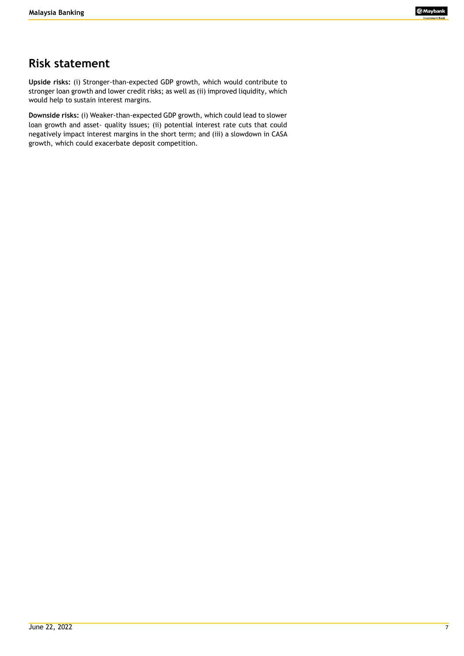# **Risk statement**

**Upside risks:** (i) Stronger-than-expected GDP growth, which would contribute to stronger loan growth and lower credit risks; as well as (ii) improved liquidity, which would help to sustain interest margins.

**Downside risks:** (i) Weaker-than-expected GDP growth, which could lead to slower loan growth and asset- quality issues; (ii) potential interest rate cuts that could negatively impact interest margins in the short term; and (iii) a slowdown in CASA growth, which could exacerbate deposit competition.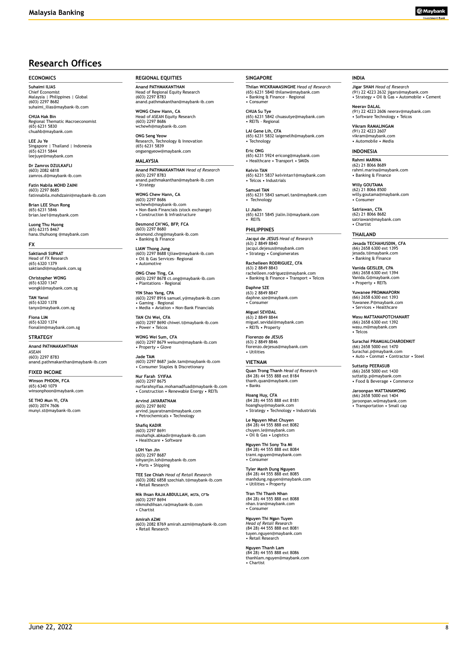# **Research Offices**

#### **ECONOMICS**

**Suhaimi ILIAS** Chief Economist Malaysia | Philippines | Global (603) 2297 8682 suhaimi\_ilias@maybank-ib.com

**CHUA Hak Bin** Regional Thematic Macroeconomist (65) 6231 5830 chuahb@maybank.com

**LEE Ju Ye** Singapore | Thailand | Indonesia (65) 6231 5844 leejuye@maybank.com

**Dr Zamros DZULKAFLI**  (603) 2082 6818 zamros.d@maybank-ib.com

**Fatin Nabila MOHD ZAINI** (603) 2297 8685 fatinnabila.mohdzaini@maybank-ib.com

**Brian LEE Shun Rong** (65) 6231 5846 brian.lee1@maybank.com

**Luong Thu Huong** (65) 62315 8467 hana.thuhuong @maybank.com

**FX**

**Saktiandi SUPAAT** Head of FX Research (65) 6320 1379 saktiandi@maybank.com.sg

**Christopher WONG** (65) 6320 1347 wongkl@maybank.com.sg

**TAN Yanxi** (65) 6320 1378 tanyx@maybank.com.sg

**Fiona LIM** (65) 6320 1374 fionalim@maybank.com.sg

#### **STRATEGY**

**Anand PATHMAKANTHAN** ASEAN (603) 2297 8783 anand.pathmakanthan@maybank-ib.com

**FIXED INCOME**

**Winson PHOON, FCA** (65) 6340 1079 winsonphoon@maybank.com

**SE THO Mun Yi, CFA** (603) 2074 7606 munyi.st@maybank-ib.com **REGIONAL EQUITIES**

**Anand PATHMAKANTHAN** Head of Regional Equity Research (603) 2297 8783 anand.pathmakanthan@maybank-ib.com

**WONG Chew Hann, CA** Head of ASEAN Equity Research (603) 2297 8686 www<br>naybank-ib.com

**ONG Seng Yeow** Research, Technology & Innovation (65) 6231 5839 ongsengyeow@maybank.com

#### **MALAYSIA**

**Anand PATHMAKANTHAN** *Head of Research* (603) 2297 8783 anand.pathmakanthan@maybank-ib.com • Strategy

**WONG Chew Hann, CA** (603) 2297 8686 wchewh@maybank-ib.com • Non-Bank Financials (stock exchange) • Construction & Infrastructure

**Desmond CH'NG, BFP, FCA** (603) 2297 8680 desmond.chng@maybank-ib.com • Banking & Finance

**LIAW Thong Jung** (603) 2297 8688 tjliaw@maybank-ib.com • Oil & Gas Services- Regional • Automotive

**ONG Chee Ting, CA** (603) 2297 8678 ct.ong@maybank-ib.com • Plantations - Regional

**YIN Shao Yang, CPA** (603) 2297 8916 samuel.y@maybank-ib.com • Gaming – Regional • Media • Aviation • Non-Bank Financials

**TAN Chi Wei, CFA** (603) 2297 8690 chiwei.t@maybank-ib.com • Power • Telcos

**WONG Wei Sum, CFA** (603) 2297 8679 weisum@maybank-ib.com • Property • Glove

**Jade TAM** (603) 2297 8687 jade.tam@maybank-ib.com • Consumer Staples & Discretionary

**Nur Farah SYIFAA** (603) 2297 8675 nurfarahsyifaa.mohamadfuad@maybank-ib.com • Construction • Renewable Energy • REITs

**Arvind JAYARATNAM** (603) 2297 8692 arvind.jayaratnam@maybank.com • Petrochemicals • Technology

**Shafiq KADIR** (603) 2297 8691 msshafiqk.abkadir@maybank-ib.com • Healthcare • Software

**LOH Yan Jin** (603) 2297 8687 lohyanjin.loh@maybank-ib.com • Ports • Shipping

**TEE Sze Chiah** *Head of Retail Research* (603) 2082 6858 szechiah.t@maybank-ib.com • Retail Research

**Nik Ihsan RAJA ABDULLAH, MSTA, CFTe** (603) 2297 8694 nikmohdihsan.ra@maybank-ib.com • Chartist

**Amirah AZMI** (603) 2082 8769 amirah.azmi@maybank-ib.com • Retail Research

#### **SINGAPORE**

**Thilan WICKRAMASINGHE** *Head of Research* (65) 6231 5840 thilanw@maybank.com • Banking & Finance - Regional • Consumer

**CHUA Su Tye**  (65) 6231 5842 chuasutye@maybank.com • REITs - Regional

**LAI Gene Lih, CFA** (65) 6231 5832 laigenelih@maybank.com • Technology

**Eric ONG** (65) 6231 5924 ericong@maybank.com • Healthcare • Transport • SMIDs

**Kelvin TAN** (65) 6231 5837 kelvintan1@maybank.com • Telcos • Industrials

**Samuel TAN** (65) 6231 5843 samuel.tan@maybank.com • Technology

**LI Jialin** (65) 6231 5845 jialin.li@maybank.com • REITs

**PHILIPPINES Jacqui de JESUS** *Head of Research* (63) 2 8849 8840 jacqui.dejesus@maybank.com • Strategy • Conglomerates

**Rachelleen RODRIGUEZ, CFA** (63) 2 8849 8843 rachelleen.rodriguez@maybank.com • Banking & Finance • Transport • Telcos

**Daphne SZE** (63) 2 8849 8847 daphne.sze@maybank.com • Consumer

**Miguel SEVIDAL** (63) 2 8849 8844 miguel.sevidal@maybank.com • REITs • Property

**Fiorenzo de JESUS** (63) 2 8849 8846 fiorenzo.dejesus@maybank.com • Utilities

#### **VIETNAM**

**Quan Trong Thanh** *Head of Research* (84 28) 44 555 888 ext 8184 thanh.quan@maybank.com • Banks

**Hoang Huy, CFA** (84 28) 44 555 888 ext 8181 hoanghuy@maybank.com • Strategy • Technology • Industrials

**Le Nguyen Nhat Chuyen** (84 28) 44 555 888 ext 8082 chuyen.le@maybank.com • Oil & Gas • Logistics

**Nguyen Thi Sony Tra Mi** (84 28) 44 555 888 ext 8084 trami.nguyen@maybank.com • Consumer

**Tyler Manh Dung Nguyen** (84 28) 44 555 888 ext 8085 manhdung.nguyen@maybank.com • Utilities • Property

**Tran Thi Thanh Nhan** (84 28) 44 555 888 ext 8088 nhan.tran@maybank.com • Consumer

**Nguyen Thi Ngan Tuyen** *Head of Retail Research* (84 28) 44 555 888 ext 8081 tuyen.nguyen@maybank.com • Retail Research

**Nguyen Thanh Lam** (84 28) 44 555 888 ext 8086 thanhlam.nguyen@maybank.com • Chartist

#### **INDIA**

**Jigar SHAH** *Head of Research* (91) 22 4223 2632 jigars@maybank.com • Strategy • Oil & Gas • Automobile • Cement

**Neerav DALAL** (91) 22 4223 2606 neerav@maybank.com • Software Technology • Telcos

**Vikram RAMALINGAM** (91) 22 4223 2607 vikram@maybank.com • Automobile • Media

#### **INDONESIA**

**Rahmi MARINA** (62) 21 8066 8689 rahmi.marina@maybank.com • Banking & Finance

**Willy GOUTAMA** (62) 21 8066 8500 willy.goutama@maybank.com • Consumer

**Satriawan, CTA** (62) 21 8066 8682 satriawan@maybank.com • Chartist

#### **THAILAND**

**Jesada TECHAHUSDIN, CFA** (66) 2658 6300 ext 1395 jesada.t@maybank.com • Banking & Finance

**Vanida GEISLER, CPA** (66) 2658 6300 ext 1394 Vanida.G@maybank.com • Property • REITs

**Yuwanee PROMMAPORN** (66) 2658 6300 ext 1393 Yuwanee.P@maybank.com • Services • Healthcare

**Wasu MATTANAPOTCHANART** (66) 2658 6300 ext 1392 wasu.m@maybank.com • Telcos

**Surachai PRAMUALCHAROENKIT**  (66) 2658 5000 ext 1470 Surachai.p@maybank.com • Auto • Conmat • Contractor • Steel

**Suttatip PEERASUB** (66) 2658 5000 ext 1430 suttatip.p@maybank.com • Food & Beverage • Commerce

**Jaroonpan WATTANAWONG** (66) 2658 5000 ext 1404 jaroonpan.w@maybank.com • Transportation • Small cap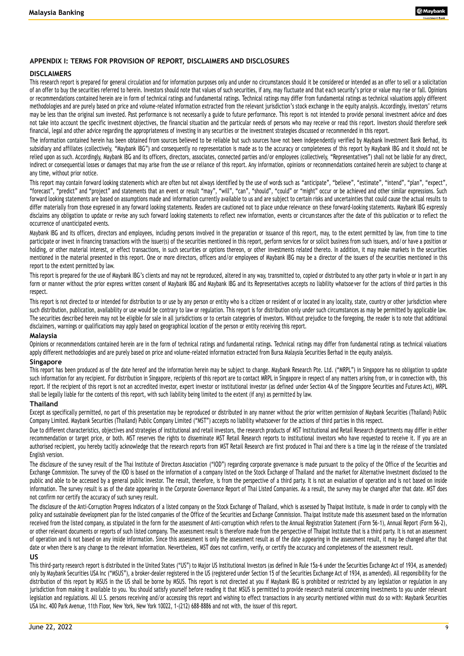#### **APPENDIX I: TERMS FOR PROVISION OF REPORT, DISCLAIMERS AND DISCLOSURES**

#### **DISCLAIMERS**

This research report is prepared for general circulation and for information purposes only and under no circumstances should it be considered or intended as an offer to sell or a solicitation of an offer to buy the securities referred to herein. Investors should note that values of such securities, if any, may fluctuate and that each security's price or value may rise or fall. Opinions or recommendations contained herein are in form of technical ratings and fundamental ratings. Technical ratings may differ from fundamental ratings as technical valuations apply different methodologies and are purely based on price and volume-related information extracted from the relevant jurisdiction's stock exchange in the equity analysis. Accordingly, investors' returns may be less than the original sum invested. Past performance is not necessarily a guide to future performance. This report is not intended to provide personal investment advice and does not take into account the specific investment objectives, the financial situation and the particular needs of persons who may receive or read this report. Investors should therefore seek financial, legal and other advice regarding the appropriateness of investing in any securities or the investment strategies discussed or recommended in this report.

The information contained herein has been obtained from sources believed to be reliable but such sources have not been independently verified by Maybank Investment Bank Berhad, its subsidiary and affiliates (collectively, "Maybank IBG") and consequently no representation is made as to the accuracy or completeness of this report by Maybank IBG and it should not be relied upon as such. Accordingly, Maybank IBG and its officers, directors, associates, connected parties and/or employees (collectively, "Representatives") shall not be liable for any direct, indirect or consequential losses or damages that may arise from the use or reliance of this report. Any information, opinions or recommendations contained herein are subject to change at any time, without prior notice.

This report may contain forward looking statements which are often but not always identified by the use of words such as "anticipate", "believe", "estimate", "intend", "plan", "expect", "forecast", "predict" and "project" and statements that an event or result "may", "will", "can", "should", "could" or "might" occur or be achieved and other similar expressions. Such forward looking statements are based on assumptions made and information currently available to us and are subject to certain risks and uncertainties that could cause the actual results to differ materially from those expressed in any forward looking statements. Readers are cautioned not to place undue relevance on these forward-looking statements. Maybank IBG expressly disclaims any obligation to update or revise any such forward looking statements to reflect new information, events or circum stances after the date of this publication or to reflect the occurrence of unanticipated events.

Maybank IBG and its officers, directors and employees, including persons involved in the preparation or issuance of this report, may, to the extent permitted by law, from time to time participate or invest in financing transactions with the issuer(s) of the securities mentioned in this report, perform services for or solicit business from such issuers, and/or have a position or holding, or other material interest, or effect transactions, in such securities or options thereon, or other investments related thereto. In addition, it may make markets in the securities mentioned in the material presented in this report. One or more directors, officers and/or employees of Maybank IBG may be a director of the issuers of the securities mentioned in this report to the extent permitted by law.

This report is prepared for the use of Maybank IBG's clients and may not be reproduced, altered in any way, transmitted to, copied or distributed to any other party in whole or in part in any form or manner without the prior express written consent of Maybank IBG and Maybank IBG and its Representatives accepts no liability whatsoe ver for the actions of third parties in this respect.

This report is not directed to or intended for distribution to or use by any person or entity who is a citizen or resident of or located in any locality, state, country or other jurisdiction where such distribution, publication, availability or use would be contrary to law or regulation. This report is for distribution only under such circumstances as may be permitted by applicable law. The securities described herein may not be eligible for sale in all jurisdictions or to certain categories of investors. Without prejudice to the foregoing, the reader is to note that additional disclaimers, warnings or qualifications may apply based on geographical location of the person or entity receiving this report.

#### **Malaysia**

Opinions or recommendations contained herein are in the form of technical ratings and fundamental ratings mare differ from fundamental ratings as technical valuations apply different methodologies and are purely based on price and volume-related information extracted from Bursa Malaysia Securities Berhad in the equity analysis.

#### **Singapore**

This report has been produced as of the date hereof and the information herein may be subject to change. Maybank Research Pte. Ltd. ("MRPL") in Singapore has no obligation to update such information for any recipient. For distribution in Singapore, recipients of this report are to contact MRPL in Singapore in respect of any matters arising from, or in connection with, this report. If the recipient of this report is not an accredited investor, expert investor or institutional investor (as defined under Section 4A of the Singapore Securities and Futures Act), MRPL shall be legally liable for the contents of this report, with such liability being limited to the extent (if any) as permitted by law.

#### **Thailand**

Except as specifically permitted, no part of this presentation may be reproduced or distributed in any manner without the prior written permission of Maybank Securities (Thailand) Public Company Limited. Maybank Securities (Thailand) Public Company Limited ("MST") accepts no liability whatsoever for the actions of third parties in this respect.

Due to different characteristics, objectives and strategies of institutional and retail investors, the research products of MST Institutional and Retail Research departments may differ in either recommendation or target price, or both. MST reserves the rights to disseminate MST Retail Research reports to institutional investors who have requested to receive it. If you are an authorised recipient, you hereby tacitly acknowledge that the research reports from MST Retail Research are first produced in Thai and there is a time lag in the release of the translated English version.

The disclosure of the survey result of the Thai Institute of Directors Association ("IOD") regarding corporate governance is made pursuant to the policy of the Office of the Securities and Exchange Commission. The survey of the IOD is based on the information of a company listed on the Stock Exchange of Thailand and the market for Alternative Investment disclosed to the public and able to be accessed by a general public investor. The result, therefore, is from the perspective of a third party. It is not an evaluation of operation and is not based on inside information. The survey result is as of the date appearing in the Corporate Governance Report of Thai Listed Companies. As a result, the survey may be changed after that date. MST does not confirm nor certify the accuracy of such survey result.

The disclosure of the Anti-Corruption Progress Indicators of a listed company on the Stock Exchange of Thailand, which is assessed by Thaipat Institute, is made in order to comply with the policy and sustainable development plan for the listed companies of the Office of the Securities and Exchange Commission. Tha ipat Institute made this assessment based on the information received from the listed company, as stipulated in the form for the assessment of Anti-corruption which refers to the Annual Registration Statement (Form 56-1), Annual Report (Form 56-2), or other relevant documents or reports of such listed company. The assessment result is therefore made from the perspective of Thaipat Institute that is a third party. It is not an assessment of operation and is not based on any inside information. Since this assessment is only the assessment result as of the date appearing in the assessment result, it may be changed after that date or when there is any change to the relevant information. Nevertheless, MST does not confirm, verify, or certify the accuracy and completeness of the assessment result.

#### **US**

This third-party research report is distributed in the United States ("US") to Major US Institutional Investors (as defined in Rule 15a-6 under the Securities Exchange Act of 1934, as amended) only by Maybank Securities USA Inc ("MSUS"), a broker-dealer registered in the US (registered under Section 15 of the Securities Exchange Act of 1934, as amended). All responsibility for the distribution of this report by MSUS in the US shall be borne by MSUS. This report is not directed at you if Maybank IBG is prohibited or restricted by any legislation or regulation in any jurisdiction from making it available to you. You should satisfy yourself before reading it that MSUS is permitted to provide research material concerning investments to you under relevant legislation and regulations. All U.S. persons receiving and/or accessing this report and wishing to effect transactions in any security mentioned within must do so with: Maybank Securities USA Inc. 400 Park Avenue, 11th Floor, New York, New York 10022, 1-(212) 688-8886 and not with, the issuer of this report.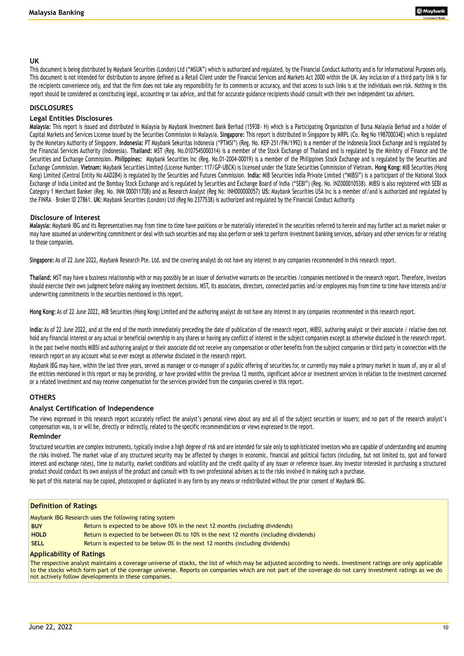#### **UK**

This document is being distributed by Maybank Securities (London) Ltd ("MSUK") which is authorized and regulated, by the Financial Conduct Authority and is for Informational Purposes only. This document is not intended for distribution to anyone defined as a Retail Client under the Financial Services and Markets Act 2000 within the UK. Any inclus ion of a third party link is for the recipients convenience only, and that the firm does not take any responsibility for its comments or accuracy, and that access to such links is at the individuals own risk. Nothing in this report should be considered as constituting legal, accounting or tax advice, and that for accurate guidance recipients should consult with their own independent tax advisers.

#### **DISCLOSURES**

#### **Legal Entities Disclosures**

**Malaysia:** This report is issued and distributed in Malaysia by Maybank Investment Bank Berhad (15938- H) which is a Participating Organization of Bursa Malaysia Berhad and a holder of Capital Markets and Services License issued by the Securities Commission in Malaysia. Singapore: This report is distributed in Singapore by MRPL (Co. Reg No 198700034E) which is regulated by the Monetary Authority of Singapore. **Indonesia:** PT Maybank Sekuritas Indonesia ("PTMSI") (Reg. No. KEP-251/PM/1992) is a member of the Indonesia Stock Exchange and is regulated by the Financial Services Authority (Indonesia). **Thailand:** MST (Reg. No.0107545000314) is a member of the Stock Exchange of Thailand and is regulated by the Ministry of Finance and the Securities and Exchange Commission. **Philippines:** Maybank Securities Inc (Reg. No.01-2004-00019) is a member of the Philippines Stock Exchange and is regulated by the Securities and Exchange Commission. **Vietnam:** Maybank Securities Limited (License Number: 117/GP-UBCK) is licensed under the State Securities Commission of Vietnam. **Hong Kong:** MIB Securities (Hong Kong) Limited (Central Entity No AAD284) is regulated by the Securities and Futures Commission. **India:** MIB Securities India Private Limited ("MIBSI") is a participant of the National Stock Exchange of India Limited and the Bombay Stock Exchange and is regulated by Securities and Exchange Board of India ("SEBI") (Reg. No. INZ000010538). MIBSI is also registered with SEBI as Category 1 Merchant Banker (Reg. No. INM 000011708) and as Research Analyst (Reg No: INH000000057) **US:** Maybank Securities USA Inc is a member of/and is authorized and regulated by the FINRA – Broker ID 27861. **UK:** Maybank Securities (London) Ltd (Reg No 2377538) is authorized and regulated by the Financial Conduct Authority.

#### **Disclosure of Interest**

**Malaysia:** Maybank IBG and its Representatives may from time to time have positions or be materially interested in the securities referred to herein and may further act as market maker or may have assumed an underwriting commitment or deal with such securities and may also perform or seek to perform investment banking services, advisory and other services for or relating to those companies.

**Singapore:** As of 22 June 2022, Maybank Research Pte. Ltd. and the covering analyst do not have any interest in any companies recommended in this research report.

**Thailand:** MST may have a business relationship with or may possibly be an issuer of derivative warrants on the securities /companies mentioned in the research report. Therefore, Investors should exercise their own judgment before making any investment decisions. MST, its associates, directors, connected parties and/or employees may from time to time have interests and/or underwriting commitments in the securities mentioned in this report.

**Hong Kong:** As of 22 June 2022, MIB Securities (Hong Kong) Limited and the authoring analyst do not have any interest in any companies recommended in this research report.

India: As of 22 June 2022, and at the end of the month immediately preceding the date of publication of the research report, MIBSI, authoring analyst or their associate / relative does not hold any financial interest or any actual or beneficial ownership in any shares or having any conflict of interest in the subject companies except as otherwise disclosed in the research report. In the past twelve months MIBSI and authoring analyst or their associate did not receive any compensation or other benefits from the subject companies or third party in connection with the research report on any account what so ever except as otherwise disclosed in the research report.

Maybank IBG may have, within the last three years, served as manager or co-manager of a public offering of securities for, or currently may make a primary market in issues of, any or all of the entities mentioned in this report or may be providing, or have provided within the previous 12 months, significant advice or investment services in relation to the investment concerned or a related investment and may receive compensation for the services provided from the companies covered in this report.

### **OTHERS**

### **Analyst Certification of Independence**

The views expressed in this research report accurately reflect the analyst's personal views about any and all of the subject securities or issuers; and no part of the research analyst's compensation was, is or will be, directly or indirectly, related to the specific recommendations or views expressed in the report.

#### **Reminder**

Structured securities are complex instruments, typically involve a high degree of risk and are intended for sale only to sophisticated investors who are capable of understanding and assuming the risks involved. The market value of any structured security may be affected by changes in economic, financial and political factors (including, but not limited to, spot and forward interest and exchange rates), time to maturity, market conditions and volatility and the credit quality of any issuer or reference issuer. Any investor interested in purchasing a structured product should conduct its own analysis of the product and consult with its own professional advisers as to the risks involve d in making such a purchase.

No part of this material may be copied, photocopied or duplicated in any form by any means or redistributed without the prior consent of Maybank IBG.

#### **Definition of Ratings**

Maybank IBG Research uses the following rating system

- **BUY** Return is expected to be above 10% in the next 12 months (including dividends)
- **HOLD** Return is expected to be between 0% to 10% in the next 12 months (including dividends)
- **SELL** Return is expected to be below 0% in the next 12 months (including dividends)

#### **Applicability of Ratings**

The respective analyst maintains a coverage universe of stocks, the list of which may be adjusted according to needs. Investment ratings are only applicable to the stocks which form part of the coverage universe. Reports on companies which are not part of the coverage do not carry investment ratings as we do not actively follow developments in these companies.